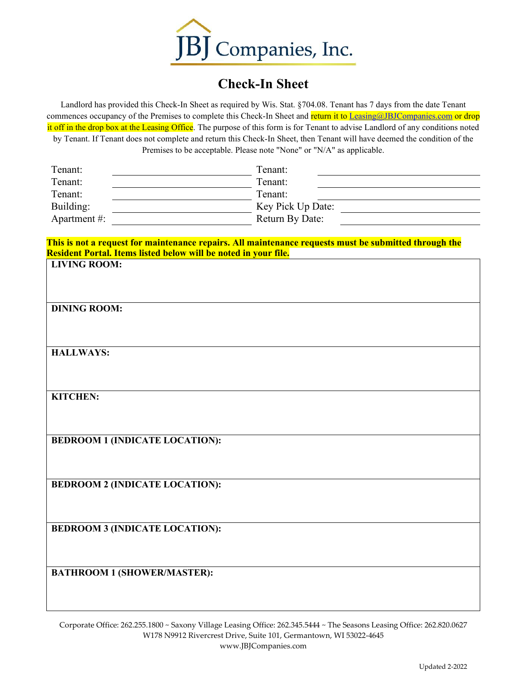

## **Check-In Sheet**

Landlord has provided this Check-In Sheet as required by Wis. Stat. §704.08. Tenant has 7 days from the date Tenant commences occupancy of the Premises to complete this Check-In Sheet and return it to [Leasing@JBJCompanies.com](mailto:Leasing@JBJCompanies.com) or drop it off in the drop box at the Leasing Office. The purpose of this form is for Tenant to advise Landlord of any conditions noted by Tenant. If Tenant does not complete and return this Check-In Sheet, then Tenant will have deemed the condition of the Premises to be acceptable. Please note "None" or "N/A" as applicable.

| Tenant:         | Tenant:           |
|-----------------|-------------------|
| Tenant:         | Tenant:           |
| Tenant:         | Tenant:           |
| Building:       | Key Pick Up Date: |
| Apartment $#$ : | Return By Date:   |

**This is not a request for maintenance repairs. All maintenance requests must be submitted through the Resident Portal. Items listed below will be noted in your file. LIVING ROOM:** 

| <b>DINING ROOM:</b>                   |
|---------------------------------------|
| <b>HALLWAYS:</b>                      |
|                                       |
| KITCHEN:                              |
| <b>BEDROOM 1 (INDICATE LOCATION):</b> |
| <b>BEDROOM 2 (INDICATE LOCATION):</b> |
| <b>BEDROOM 3 (INDICATE LOCATION):</b> |
| <b>BATHROOM 1 (SHOWER/MASTER):</b>    |

Corporate Office: 262.255.1800 ~ Saxony Village Leasing Office: 262.345.5444 ~ The Seasons Leasing Office: 262.820.0627 W178 N9912 Rivercrest Drive, Suite 101, Germantown, WI 53022-4645 www.JBJCompanies.com